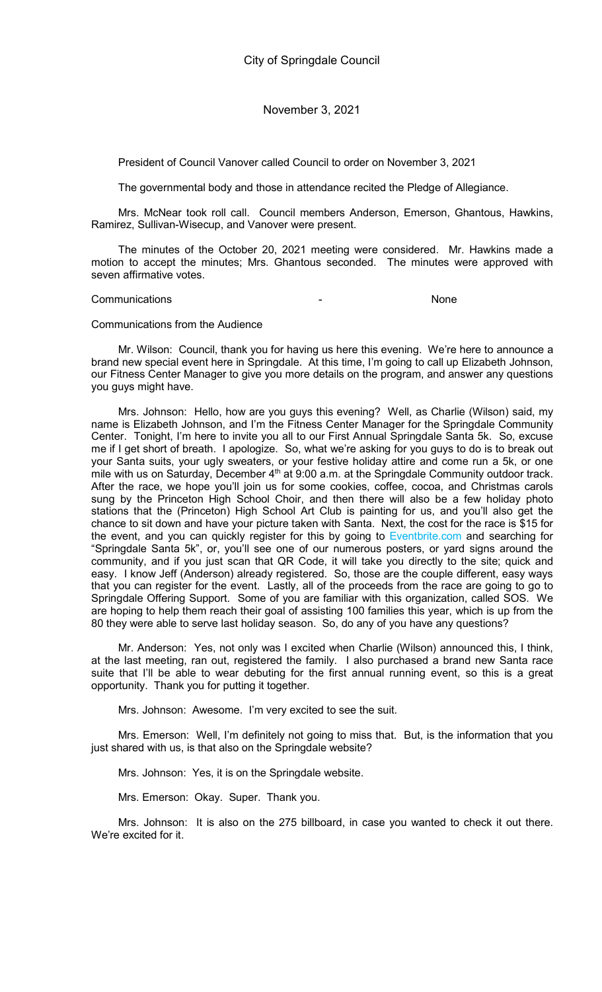President of Council Vanover called Council to order on November 3, 2021

The governmental body and those in attendance recited the Pledge of Allegiance.

Mrs. McNear took roll call. Council members Anderson, Emerson, Ghantous, Hawkins, Ramirez, Sullivan-Wisecup, and Vanover were present.

The minutes of the October 20, 2021 meeting were considered. Mr. Hawkins made a motion to accept the minutes; Mrs. Ghantous seconded. The minutes were approved with seven affirmative votes.

### Communications - None

## Communications from the Audience

Mr. Wilson: Council, thank you for having us here this evening. We're here to announce a brand new special event here in Springdale. At this time, I'm going to call up Elizabeth Johnson, our Fitness Center Manager to give you more details on the program, and answer any questions you guys might have.

Mrs. Johnson: Hello, how are you guys this evening? Well, as Charlie (Wilson) said, my name is Elizabeth Johnson, and I'm the Fitness Center Manager for the Springdale Community Center. Tonight, I'm here to invite you all to our First Annual Springdale Santa 5k. So, excuse me if I get short of breath. I apologize. So, what we're asking for you guys to do is to break out your Santa suits, your ugly sweaters, or your festive holiday attire and come run a 5k, or one mile with us on Saturday, December 4<sup>th</sup> at 9:00 a.m. at the Springdale Community outdoor track. After the race, we hope you'll join us for some cookies, coffee, cocoa, and Christmas carols sung by the Princeton High School Choir, and then there will also be a few holiday photo stations that the (Princeton) High School Art Club is painting for us, and you'll also get the chance to sit down and have your picture taken with Santa. Next, the cost for the race is \$15 for the event, and you can quickly register for this by going to Eventbrite.com and searching for "Springdale Santa 5k", or, you'll see one of our numerous posters, or yard signs around the community, and if you just scan that QR Code, it will take you directly to the site; quick and easy. I know Jeff (Anderson) already registered. So, those are the couple different, easy ways that you can register for the event. Lastly, all of the proceeds from the race are going to go to Springdale Offering Support. Some of you are familiar with this organization, called SOS. We are hoping to help them reach their goal of assisting 100 families this year, which is up from the 80 they were able to serve last holiday season. So, do any of you have any questions?

Mr. Anderson: Yes, not only was I excited when Charlie (Wilson) announced this, I think, at the last meeting, ran out, registered the family. I also purchased a brand new Santa race suite that I'll be able to wear debuting for the first annual running event, so this is a great opportunity. Thank you for putting it together.

Mrs. Johnson: Awesome. I'm very excited to see the suit.

Mrs. Emerson: Well, I'm definitely not going to miss that. But, is the information that you just shared with us, is that also on the Springdale website?

Mrs. Johnson: Yes, it is on the Springdale website.

Mrs. Emerson: Okay. Super. Thank you.

Mrs. Johnson: It is also on the 275 billboard, in case you wanted to check it out there. We're excited for it.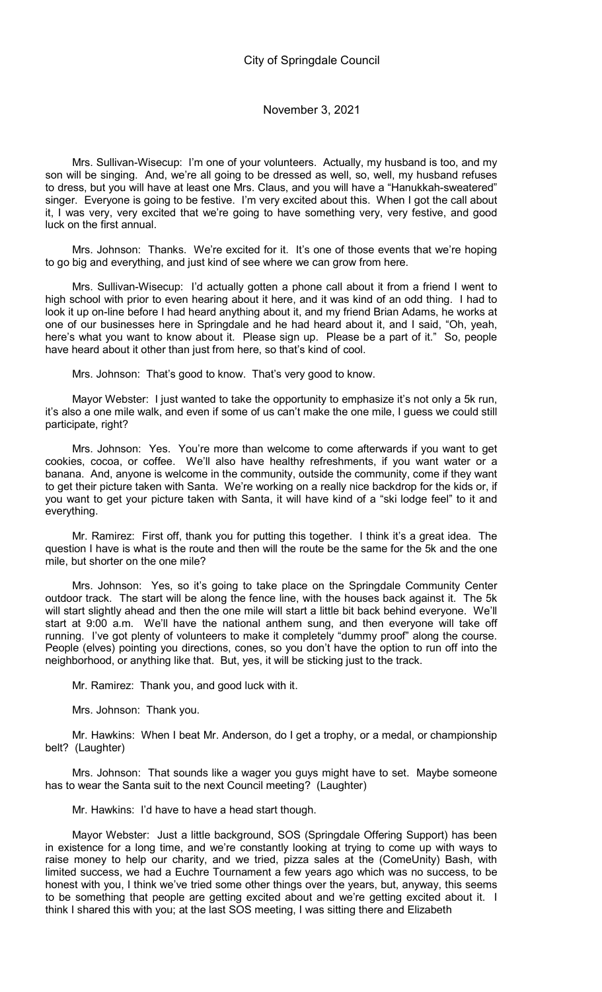Mrs. Sullivan-Wisecup: I'm one of your volunteers. Actually, my husband is too, and my son will be singing. And, we're all going to be dressed as well, so, well, my husband refuses to dress, but you will have at least one Mrs. Claus, and you will have a "Hanukkah-sweatered" singer. Everyone is going to be festive. I'm very excited about this. When I got the call about it, I was very, very excited that we're going to have something very, very festive, and good luck on the first annual.

Mrs. Johnson: Thanks. We're excited for it. It's one of those events that we're hoping to go big and everything, and just kind of see where we can grow from here.

Mrs. Sullivan-Wisecup: I'd actually gotten a phone call about it from a friend I went to high school with prior to even hearing about it here, and it was kind of an odd thing. I had to look it up on-line before I had heard anything about it, and my friend Brian Adams, he works at one of our businesses here in Springdale and he had heard about it, and I said, "Oh, yeah, here's what you want to know about it. Please sign up. Please be a part of it." So, people have heard about it other than just from here, so that's kind of cool.

Mrs. Johnson: That's good to know. That's very good to know.

Mayor Webster: I just wanted to take the opportunity to emphasize it's not only a 5k run, it's also a one mile walk, and even if some of us can't make the one mile, I guess we could still participate, right?

Mrs. Johnson: Yes. You're more than welcome to come afterwards if you want to get cookies, cocoa, or coffee. We'll also have healthy refreshments, if you want water or a banana. And, anyone is welcome in the community, outside the community, come if they want to get their picture taken with Santa. We're working on a really nice backdrop for the kids or, if you want to get your picture taken with Santa, it will have kind of a "ski lodge feel" to it and everything.

Mr. Ramirez: First off, thank you for putting this together. I think it's a great idea. The question I have is what is the route and then will the route be the same for the 5k and the one mile, but shorter on the one mile?

Mrs. Johnson: Yes, so it's going to take place on the Springdale Community Center outdoor track. The start will be along the fence line, with the houses back against it. The 5k will start slightly ahead and then the one mile will start a little bit back behind everyone. We'll start at 9:00 a.m. We'll have the national anthem sung, and then everyone will take off running. I've got plenty of volunteers to make it completely "dummy proof" along the course. People (elves) pointing you directions, cones, so you don't have the option to run off into the neighborhood, or anything like that. But, yes, it will be sticking just to the track.

Mr. Ramirez: Thank you, and good luck with it.

Mrs. Johnson: Thank you.

Mr. Hawkins: When I beat Mr. Anderson, do I get a trophy, or a medal, or championship belt? (Laughter)

Mrs. Johnson: That sounds like a wager you guys might have to set. Maybe someone has to wear the Santa suit to the next Council meeting? (Laughter)

Mr. Hawkins: I'd have to have a head start though.

Mayor Webster: Just a little background, SOS (Springdale Offering Support) has been in existence for a long time, and we're constantly looking at trying to come up with ways to raise money to help our charity, and we tried, pizza sales at the (ComeUnity) Bash, with limited success, we had a Euchre Tournament a few years ago which was no success, to be honest with you, I think we've tried some other things over the years, but, anyway, this seems to be something that people are getting excited about and we're getting excited about it. I think I shared this with you; at the last SOS meeting, I was sitting there and Elizabeth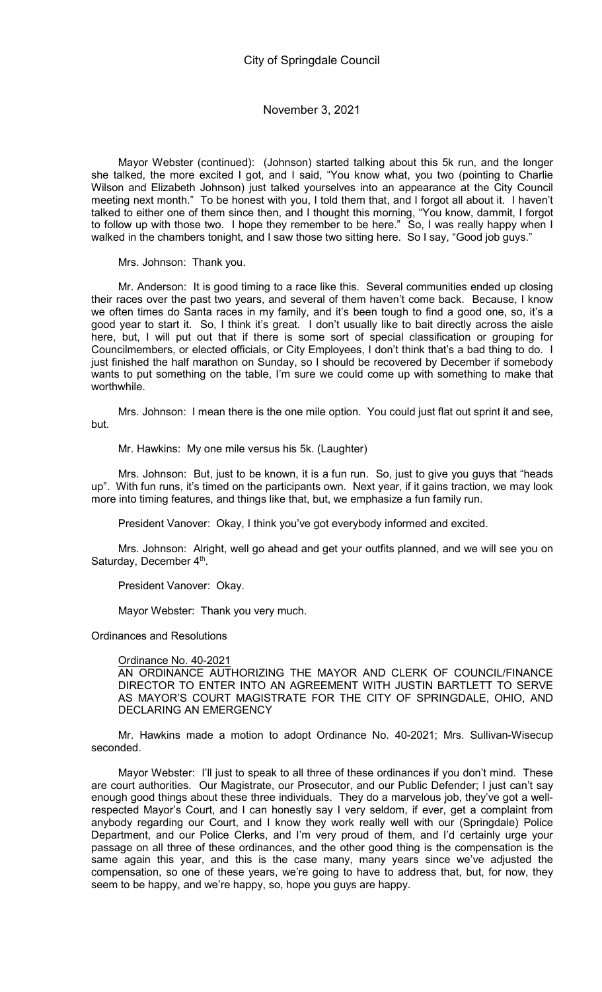Mayor Webster (continued): (Johnson) started talking about this 5k run, and the longer she talked, the more excited I got, and I said, "You know what, you two (pointing to Charlie Wilson and Elizabeth Johnson) just talked yourselves into an appearance at the City Council meeting next month." To be honest with you, I told them that, and I forgot all about it. I haven't talked to either one of them since then, and I thought this morning, "You know, dammit, I forgot to follow up with those two. I hope they remember to be here." So, I was really happy when I walked in the chambers tonight, and I saw those two sitting here. So I say, "Good job guys."

Mrs. Johnson: Thank you.

Mr. Anderson: It is good timing to a race like this. Several communities ended up closing their races over the past two years, and several of them haven't come back. Because, I know we often times do Santa races in my family, and it's been tough to find a good one, so, it's a good year to start it. So, I think it's great. I don't usually like to bait directly across the aisle here, but, I will put out that if there is some sort of special classification or grouping for Councilmembers, or elected officials, or City Employees, I don't think that's a bad thing to do. I just finished the half marathon on Sunday, so I should be recovered by December if somebody wants to put something on the table, I'm sure we could come up with something to make that worthwhile.

Mrs. Johnson: I mean there is the one mile option. You could just flat out sprint it and see, but.

Mr. Hawkins: My one mile versus his 5k. (Laughter)

Mrs. Johnson: But, just to be known, it is a fun run. So, just to give you guys that "heads up". With fun runs, it's timed on the participants own. Next year, if it gains traction, we may look more into timing features, and things like that, but, we emphasize a fun family run.

President Vanover: Okay, I think you've got everybody informed and excited.

Mrs. Johnson: Alright, well go ahead and get your outfits planned, and we will see you on Saturday, December 4<sup>th</sup>.

President Vanover: Okay.

Mayor Webster: Thank you very much.

Ordinances and Resolutions

#### Ordinance No. 40-2021

AN ORDINANCE AUTHORIZING THE MAYOR AND CLERK OF COUNCIL/FINANCE DIRECTOR TO ENTER INTO AN AGREEMENT WITH JUSTIN BARTLETT TO SERVE AS MAYOR'S COURT MAGISTRATE FOR THE CITY OF SPRINGDALE, OHIO, AND DECLARING AN EMERGENCY

Mr. Hawkins made a motion to adopt Ordinance No. 40-2021; Mrs. Sullivan-Wisecup seconded.

Mayor Webster: I'll just to speak to all three of these ordinances if you don't mind. These are court authorities. Our Magistrate, our Prosecutor, and our Public Defender; I just can't say enough good things about these three individuals. They do a marvelous job, they've got a wellrespected Mayor's Court, and I can honestly say I very seldom, if ever, get a complaint from anybody regarding our Court, and I know they work really well with our (Springdale) Police Department, and our Police Clerks, and I'm very proud of them, and I'd certainly urge your passage on all three of these ordinances, and the other good thing is the compensation is the same again this year, and this is the case many, many years since we've adjusted the compensation, so one of these years, we're going to have to address that, but, for now, they seem to be happy, and we're happy, so, hope you guys are happy.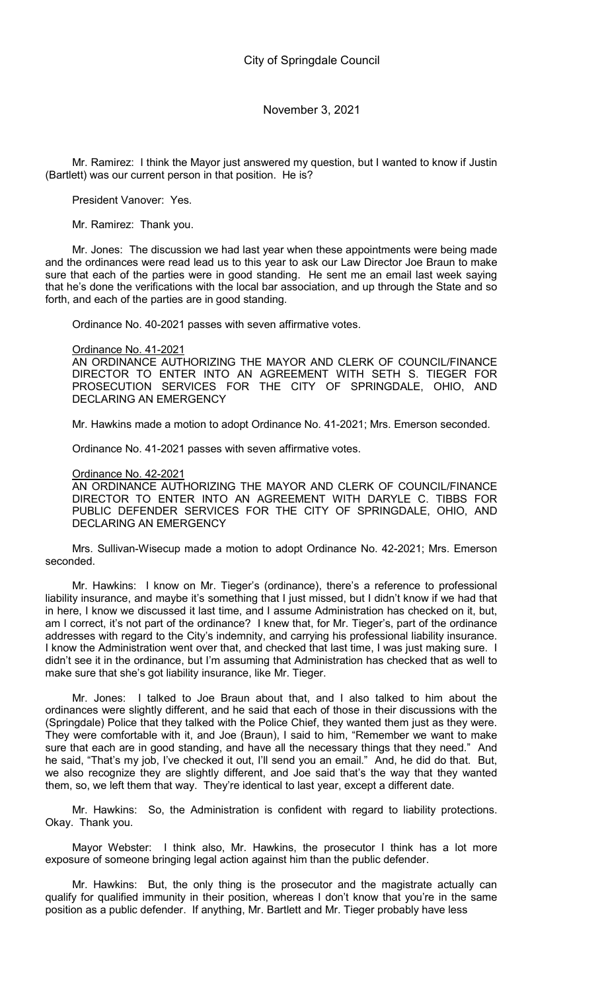Mr. Ramirez: I think the Mayor just answered my question, but I wanted to know if Justin (Bartlett) was our current person in that position. He is?

President Vanover: Yes.

Mr. Ramirez: Thank you.

Mr. Jones: The discussion we had last year when these appointments were being made and the ordinances were read lead us to this year to ask our Law Director Joe Braun to make sure that each of the parties were in good standing. He sent me an email last week saying that he's done the verifications with the local bar association, and up through the State and so forth, and each of the parties are in good standing.

Ordinance No. 40-2021 passes with seven affirmative votes.

Ordinance No. 41-2021

AN ORDINANCE AUTHORIZING THE MAYOR AND CLERK OF COUNCIL/FINANCE DIRECTOR TO ENTER INTO AN AGREEMENT WITH SETH S. TIEGER FOR PROSECUTION SERVICES FOR THE CITY OF SPRINGDALE, OHIO, AND DECLARING AN EMERGENCY

Mr. Hawkins made a motion to adopt Ordinance No. 41-2021; Mrs. Emerson seconded.

Ordinance No. 41-2021 passes with seven affirmative votes.

Ordinance No. 42-2021

AN ORDINANCE AUTHORIZING THE MAYOR AND CLERK OF COUNCIL/FINANCE DIRECTOR TO ENTER INTO AN AGREEMENT WITH DARYLE C. TIBBS FOR PUBLIC DEFENDER SERVICES FOR THE CITY OF SPRINGDALE, OHIO, AND DECLARING AN EMERGENCY

Mrs. Sullivan-Wisecup made a motion to adopt Ordinance No. 42-2021; Mrs. Emerson seconded.

Mr. Hawkins: I know on Mr. Tieger's (ordinance), there's a reference to professional liability insurance, and maybe it's something that I just missed, but I didn't know if we had that in here, I know we discussed it last time, and I assume Administration has checked on it, but, am I correct, it's not part of the ordinance? I knew that, for Mr. Tieger's, part of the ordinance addresses with regard to the City's indemnity, and carrying his professional liability insurance. I know the Administration went over that, and checked that last time, I was just making sure. I didn't see it in the ordinance, but I'm assuming that Administration has checked that as well to make sure that she's got liability insurance, like Mr. Tieger.

Mr. Jones: I talked to Joe Braun about that, and I also talked to him about the ordinances were slightly different, and he said that each of those in their discussions with the (Springdale) Police that they talked with the Police Chief, they wanted them just as they were. They were comfortable with it, and Joe (Braun), I said to him, "Remember we want to make sure that each are in good standing, and have all the necessary things that they need." And he said, "That's my job, I've checked it out, I'll send you an email." And, he did do that. But, we also recognize they are slightly different, and Joe said that's the way that they wanted them, so, we left them that way. They're identical to last year, except a different date.

Mr. Hawkins: So, the Administration is confident with regard to liability protections. Okay. Thank you.

Mayor Webster: I think also, Mr. Hawkins, the prosecutor I think has a lot more exposure of someone bringing legal action against him than the public defender.

Mr. Hawkins: But, the only thing is the prosecutor and the magistrate actually can qualify for qualified immunity in their position, whereas I don't know that you're in the same position as a public defender. If anything, Mr. Bartlett and Mr. Tieger probably have less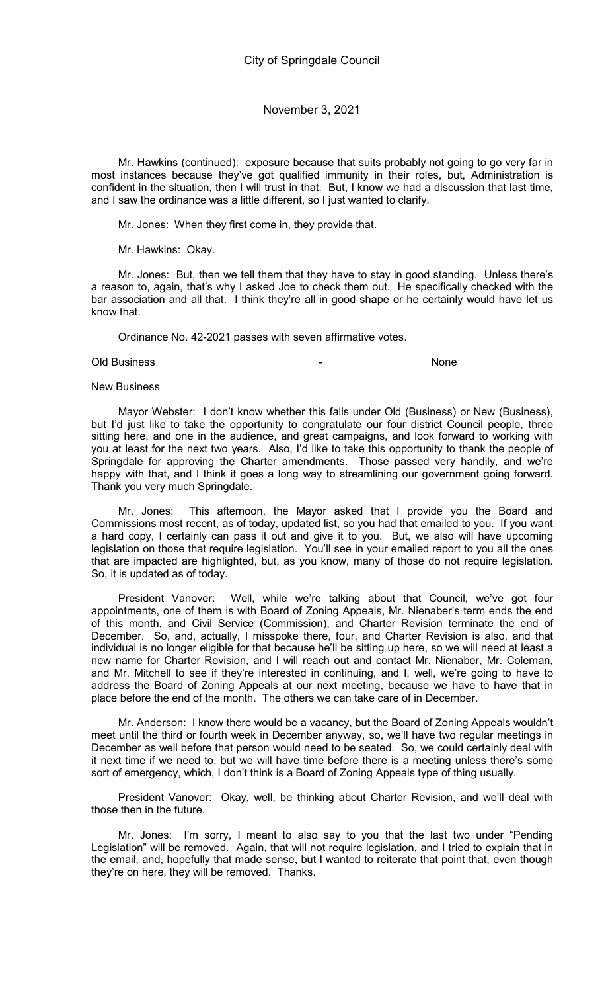Mr. Hawkins (continued): exposure because that suits probably not going to go very far in most instances because they've got qualified immunity in their roles, but, Administration is confident in the situation, then I will trust in that. But, I know we had a discussion that last time, and I saw the ordinance was a little different, so I just wanted to clarify.

Mr. Jones: When they first come in, they provide that.

Mr. Hawkins: Okay.

Mr. Jones: But, then we tell them that they have to stay in good standing. Unless there's a reason to, again, that's why I asked Joe to check them out. He specifically checked with the bar association and all that. I think they're all in good shape or he certainly would have let us know that.

Ordinance No. 42-2021 passes with seven affirmative votes.

### Old Business and the contract of the contract of the contract of the contract of the contract of the contract of the contract of the contract of the contract of the contract of the contract of the contract of the contract

#### New Business

Mayor Webster: I don't know whether this falls under Old (Business) or New (Business), but I'd just like to take the opportunity to congratulate our four district Council people, three sitting here, and one in the audience, and great campaigns, and look forward to working with you at least for the next two years. Also, I'd like to take this opportunity to thank the people of Springdale for approving the Charter amendments. Those passed very handily, and we're happy with that, and I think it goes a long way to streamlining our government going forward. Thank you very much Springdale.

Mr. Jones: This afternoon, the Mayor asked that I provide you the Board and Commissions most recent, as of today, updated list, so you had that emailed to you. If you want a hard copy, I certainly can pass it out and give it to you. But, we also will have upcoming legislation on those that require legislation. You'll see in your emailed report to you all the ones that are impacted are highlighted, but, as you know, many of those do not require legislation. So, it is updated as of today.

President Vanover: Well, while we're talking about that Council, we've got four appointments, one of them is with Board of Zoning Appeals, Mr. Nienaber's term ends the end of this month, and Civil Service (Commission), and Charter Revision terminate the end of December. So, and, actually, I misspoke there, four, and Charter Revision is also, and that individual is no longer eligible for that because he'll be sitting up here, so we will need at least a new name for Charter Revision, and I will reach out and contact Mr. Nienaber, Mr. Coleman, and Mr. Mitchell to see if they're interested in continuing, and I, well, we're going to have to address the Board of Zoning Appeals at our next meeting, because we have to have that in place before the end of the month. The others we can take care of in December.

Mr. Anderson: I know there would be a vacancy, but the Board of Zoning Appeals wouldn't meet until the third or fourth week in December anyway, so, we'll have two regular meetings in December as well before that person would need to be seated. So, we could certainly deal with it next time if we need to, but we will have time before there is a meeting unless there's some sort of emergency, which, I don't think is a Board of Zoning Appeals type of thing usually.

President Vanover: Okay, well, be thinking about Charter Revision, and we'll deal with those then in the future.

Mr. Jones: I'm sorry, I meant to also say to you that the last two under "Pending Legislation" will be removed. Again, that will not require legislation, and I tried to explain that in the email, and, hopefully that made sense, but I wanted to reiterate that point that, even though they're on here, they will be removed. Thanks.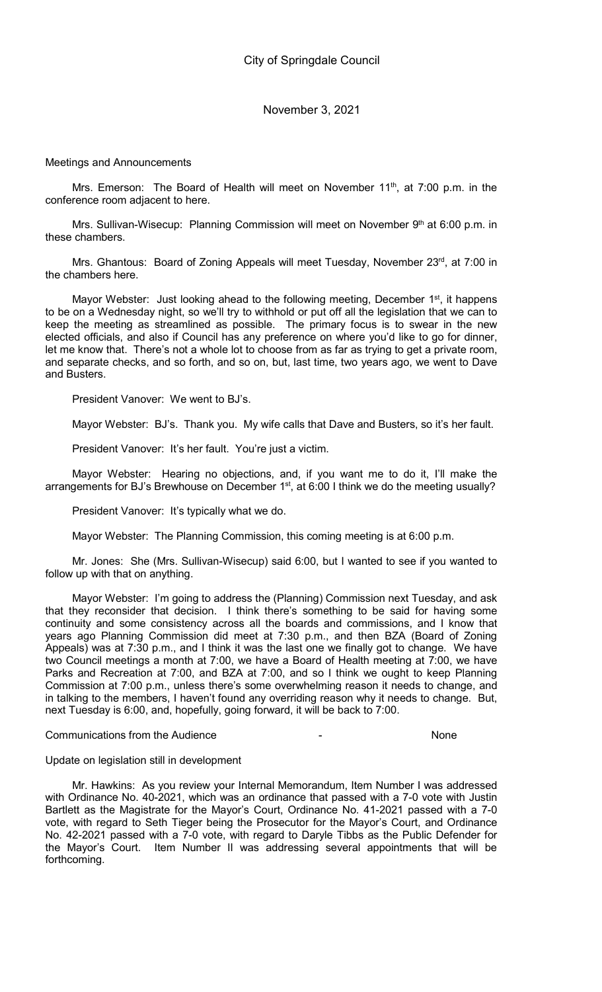Meetings and Announcements

Mrs. Emerson: The Board of Health will meet on November 11<sup>th</sup>, at 7:00 p.m. in the conference room adjacent to here.

Mrs. Sullivan-Wisecup: Planning Commission will meet on November 9<sup>th</sup> at 6:00 p.m. in these chambers.

Mrs. Ghantous: Board of Zoning Appeals will meet Tuesday, November 23rd, at 7:00 in the chambers here.

Mayor Webster: Just looking ahead to the following meeting, December 1<sup>st</sup>, it happens to be on a Wednesday night, so we'll try to withhold or put off all the legislation that we can to keep the meeting as streamlined as possible. The primary focus is to swear in the new elected officials, and also if Council has any preference on where you'd like to go for dinner, let me know that. There's not a whole lot to choose from as far as trying to get a private room, and separate checks, and so forth, and so on, but, last time, two years ago, we went to Dave and Busters.

President Vanover: We went to BJ's.

Mayor Webster: BJ's. Thank you. My wife calls that Dave and Busters, so it's her fault.

President Vanover: It's her fault. You're just a victim.

Mayor Webster: Hearing no objections, and, if you want me to do it, I'll make the arrangements for BJ's Brewhouse on December 1<sup>st</sup>, at 6:00 I think we do the meeting usually?

President Vanover: It's typically what we do.

Mayor Webster: The Planning Commission, this coming meeting is at 6:00 p.m.

Mr. Jones: She (Mrs. Sullivan-Wisecup) said 6:00, but I wanted to see if you wanted to follow up with that on anything.

Mayor Webster: I'm going to address the (Planning) Commission next Tuesday, and ask that they reconsider that decision. I think there's something to be said for having some continuity and some consistency across all the boards and commissions, and I know that years ago Planning Commission did meet at 7:30 p.m., and then BZA (Board of Zoning Appeals) was at 7:30 p.m., and I think it was the last one we finally got to change. We have two Council meetings a month at 7:00, we have a Board of Health meeting at 7:00, we have Parks and Recreation at 7:00, and BZA at 7:00, and so I think we ought to keep Planning Commission at 7:00 p.m., unless there's some overwhelming reason it needs to change, and in talking to the members, I haven't found any overriding reason why it needs to change. But, next Tuesday is 6:00, and, hopefully, going forward, it will be back to 7:00.

### Communications from the Audience - None

Update on legislation still in development

Mr. Hawkins: As you review your Internal Memorandum, Item Number I was addressed with Ordinance No. 40-2021, which was an ordinance that passed with a 7-0 vote with Justin Bartlett as the Magistrate for the Mayor's Court, Ordinance No. 41-2021 passed with a 7-0 vote, with regard to Seth Tieger being the Prosecutor for the Mayor's Court, and Ordinance No. 42-2021 passed with a 7-0 vote, with regard to Daryle Tibbs as the Public Defender for the Mayor's Court. Item Number II was addressing several appointments that will be forthcoming.